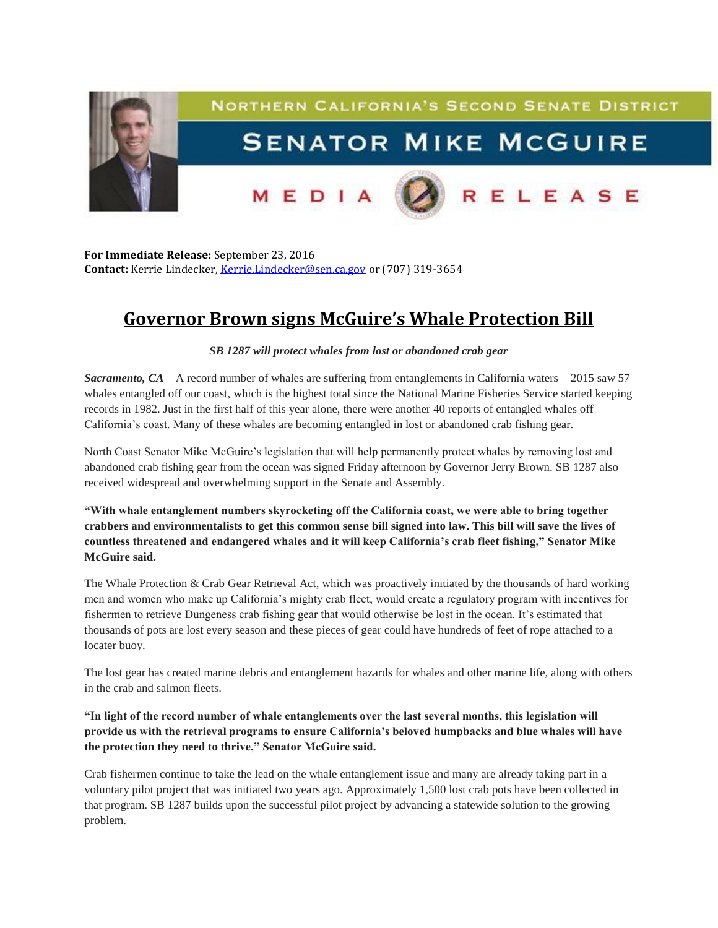

**For Immediate Release:** September 23, 2016 Contact: Kerrie Lindecker, [Kerrie.Lindecker@sen.ca.gov](mailto:Kerrie.Lindecker@sen.ca.gov) or (707) 319-3654

## **Governor Brown signs McGuire's Whale Protection Bill**

## *SB 1287 will protect whales from lost or abandoned crab gear*

*Sacramento, CA* – A record number of whales are suffering from entanglements in California waters – 2015 saw 57 whales entangled off our coast, which is the highest total since the National Marine Fisheries Service started keeping records in 1982. Just in the first half of this year alone, there were another 40 reports of entangled whales off California's coast. Many of these whales are becoming entangled in lost or abandoned crab fishing gear.

North Coast Senator Mike McGuire's legislation that will help permanently protect whales by removing lost and abandoned crab fishing gear from the ocean was signed Friday afternoon by Governor Jerry Brown. SB 1287 also received widespread and overwhelming support in the Senate and Assembly.

**"With whale entanglement numbers skyrocketing off the California coast, we were able to bring together crabbers and environmentalists to get this common sense bill signed into law. This bill will save the lives of countless threatened and endangered whales and it will keep California's crab fleet fishing," Senator Mike McGuire said.**

The Whale Protection & Crab Gear Retrieval Act, which was proactively initiated by the thousands of hard working men and women who make up California's mighty crab fleet, would create a regulatory program with incentives for fishermen to retrieve Dungeness crab fishing gear that would otherwise be lost in the ocean. It's estimated that thousands of pots are lost every season and these pieces of gear could have hundreds of feet of rope attached to a locater buoy.

The lost gear has created marine debris and entanglement hazards for whales and other marine life, along with others in the crab and salmon fleets.

**"In light of the record number of whale entanglements over the last several months, this legislation will provide us with the retrieval programs to ensure California's beloved humpbacks and blue whales will have the protection they need to thrive," Senator McGuire said.**

Crab fishermen continue to take the lead on the whale entanglement issue and many are already taking part in a voluntary pilot project that was initiated two years ago. Approximately 1,500 lost crab pots have been collected in that program. SB 1287 builds upon the successful pilot project by advancing a statewide solution to the growing problem.